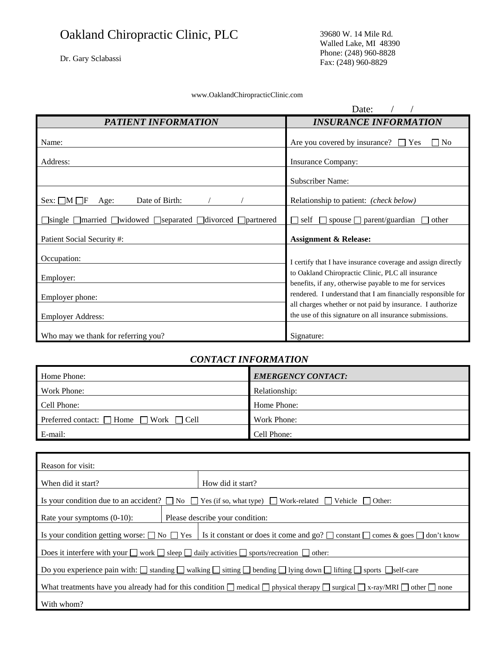# Oakland Chiropractic Clinic, PLC

Dr. Gary Sclabassi

39680 W. 14 Mile Rd. Walled Lake, MI 48390 Phone: (248) 960-8828 Fax: (248) 960-8829

#### www.OaklandChiropracticClinic.com

|                                                                                                  | Date:                                                                                                                |  |  |
|--------------------------------------------------------------------------------------------------|----------------------------------------------------------------------------------------------------------------------|--|--|
| PATIENT INFORMATION                                                                              | <b>INSURANCE INFORMATION</b>                                                                                         |  |  |
| Name:                                                                                            | Are you covered by insurance? $\Box$ Yes<br>$\neg$ No                                                                |  |  |
| Address:                                                                                         | <b>Insurance Company:</b>                                                                                            |  |  |
|                                                                                                  | <b>Subscriber Name:</b>                                                                                              |  |  |
| Date of Birth:<br>Sex: $\Box M \Box F$<br>Age:                                                   | Relationship to patient: (check below)                                                                               |  |  |
| $\exists$ single $\Box$ married $\Box$ widowed $\Box$ separated $\Box$ divorced $\Box$ partnered | $\Box$ spouse $\Box$ parent/guardian<br>П<br>self<br>other                                                           |  |  |
| Patient Social Security #:                                                                       | <b>Assignment &amp; Release:</b>                                                                                     |  |  |
| Occupation:                                                                                      | I certify that I have insurance coverage and assign directly                                                         |  |  |
| Employer:                                                                                        | to Oakland Chiropractic Clinic, PLC all insurance<br>benefits, if any, otherwise payable to me for services          |  |  |
| Employer phone:                                                                                  | rendered. I understand that I am financially responsible for                                                         |  |  |
| <b>Employer Address:</b>                                                                         | all charges whether or not paid by insurance. I authorize<br>the use of this signature on all insurance submissions. |  |  |
| Who may we thank for referring you?                                                              | Signature:                                                                                                           |  |  |

### *CONTACT INFORMATION*

| Home Phone:                                            | <b>EMERGENCY CONTACT:</b> |
|--------------------------------------------------------|---------------------------|
| Work Phone:                                            | Relationship:             |
| Cell Phone:                                            | Home Phone:               |
| Preferred contact: $\Box$ Home $\Box$ Work $\Box$ Cell | Work Phone:               |
| E-mail:                                                | Cell Phone:               |

| Reason for visit:                                                                                                                                         |  |                                 |  |  |
|-----------------------------------------------------------------------------------------------------------------------------------------------------------|--|---------------------------------|--|--|
| When did it start?                                                                                                                                        |  | How did it start?               |  |  |
| Is your condition due to an accident? $\Box$ No $\Box$ Yes (if so, what type) $\Box$ Work-related $\Box$ Vehicle $\Box$ Other:                            |  |                                 |  |  |
| Rate your symptoms $(0-10)$ :                                                                                                                             |  | Please describe your condition: |  |  |
| Is your condition getting worse: $\Box$ No $\Box$ Yes<br>Is it constant or does it come and go? $\Box$ constant $\Box$ comes & goes $\Box$ don't know     |  |                                 |  |  |
| Does it interfere with your $\Box$ work $\Box$ sleep $\Box$ daily activities $\Box$ sports/recreation $\Box$ other:                                       |  |                                 |  |  |
| Do you experience pain with: $\Box$ standing $\Box$ walking $\Box$ sitting $\Box$ bending $\Box$ lying down $\Box$ lifting $\Box$ sports $\Box$ self-care |  |                                 |  |  |
| What treatments have you already had for this condition $\Box$ medical $\Box$ physical therapy $\Box$ surgical $\Box$ x-ray/MRI $\Box$ other $\Box$ none  |  |                                 |  |  |
| With whom?                                                                                                                                                |  |                                 |  |  |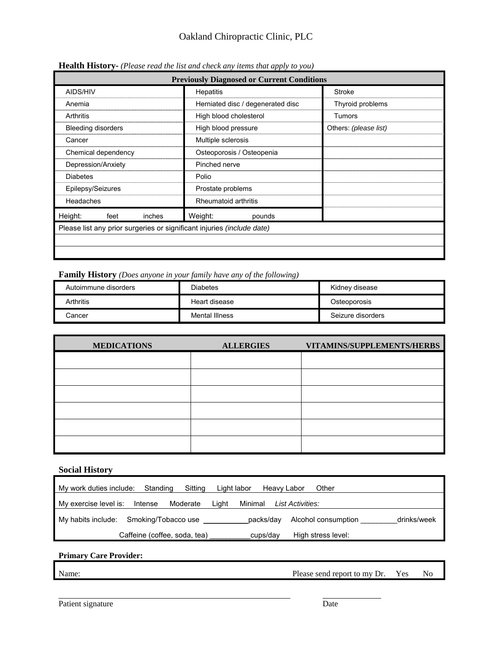| <b>Previously Diagnosed or Current Conditions</b>                             |                                   |                       |  |
|-------------------------------------------------------------------------------|-----------------------------------|-----------------------|--|
| AIDS/HIV                                                                      | <b>Hepatitis</b>                  | <b>Stroke</b>         |  |
| Anemia                                                                        | Herniated disc / degenerated disc | Thyroid problems      |  |
| Arthritis                                                                     | High blood cholesterol            | Tumors                |  |
| <b>Bleeding disorders</b>                                                     | High blood pressure               | Others: (please list) |  |
| Cancer                                                                        | Multiple sclerosis                |                       |  |
| Chemical dependency                                                           | Osteoporosis / Osteopenia         |                       |  |
| Depression/Anxiety                                                            | Pinched nerve                     |                       |  |
| <b>Diabetes</b>                                                               | Polio                             |                       |  |
| Epilepsy/Seizures                                                             | Prostate problems                 |                       |  |
| Headaches                                                                     | Rheumatoid arthritis              |                       |  |
| Height:<br>feet<br>inches                                                     | Weight:<br>pounds                 |                       |  |
| Please list any prior surgeries or significant injuries <i>(include date)</i> |                                   |                       |  |
|                                                                               |                                   |                       |  |
|                                                                               |                                   |                       |  |

**Health History-** *(Please read the list and check any items that apply to you)*

**Family History** *(Does anyone in your family have any of the following)*

| Autoimmune disorders | <b>Diabetes</b> | Kidney disease    |  |
|----------------------|-----------------|-------------------|--|
| <b>Arthritis</b>     | Heart disease   | Osteoporosis      |  |
| Cancer               | Mental Illness  | Seizure disorders |  |

| <b>MEDICATIONS</b> | <b>ALLERGIES</b> | VITAMINS/SUPPLEMENTS/HERBS |  |  |
|--------------------|------------------|----------------------------|--|--|
|                    |                  |                            |  |  |
|                    |                  |                            |  |  |
|                    |                  |                            |  |  |
|                    |                  |                            |  |  |
|                    |                  |                            |  |  |
|                    |                  |                            |  |  |

#### **Social History**

| My work duties include:                | Standing<br>Sitting          | Light labor | Heavy Labor | Other               |             |
|----------------------------------------|------------------------------|-------------|-------------|---------------------|-------------|
| My exercise level is:                  | Moderate<br>Intense          | Liaht       | Minimal     | List Activities:    |             |
| My habits include: Smoking/Tobacco use |                              |             | packs/day   | Alcohol consumption | drinks/week |
|                                        | Caffeine (coffee, soda, tea) |             | cups/day    | High stress level:  |             |

## **Primary Care Provider:**

Name: Please send report to my Dr. Yes No